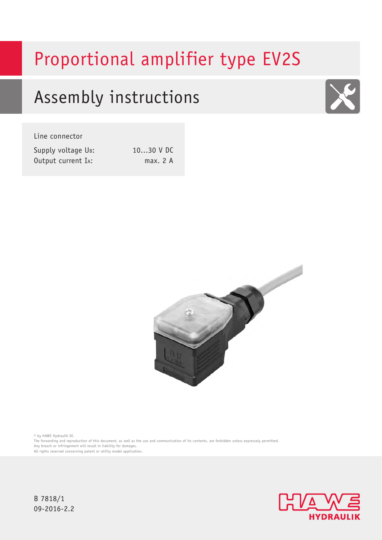# Proportional amplifier type EV2S

## Assembly instructions



Line connector

| Supply voltage UB: |  |
|--------------------|--|
| Output current IA: |  |

10...30 V DC  $max. 2 A$ 



© by HAWE Hydraulik SE.

The forwarding and reproduction of this document, as well as the use and communication of its contents, are forbidden unless expressely permitted. Any breach or infringement will result in liability for damages.

All rights reserved concerning patent or utility model application.

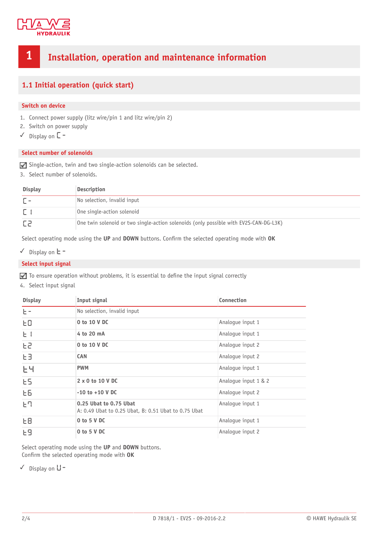

## **1 Installation, operation and maintenance information**

#### **1.1 Initial operation (quick start)**

#### **Switch on device**

- 1. Connect power supply (litz wire/pin 1 and litz wire/pin 2)
- 2. Switch on power supply
- ✓ Display on **C-**

#### **Select number of solenoids**

 $\Box$  Single-action, twin and two single-action solenoids can be selected.

3. Select number of solenoids.

| <b>Display</b> | Description                                                                           |
|----------------|---------------------------------------------------------------------------------------|
|                | No selection, invalid input                                                           |
|                | One single-action solenoid                                                            |
|                | One twin solenoid or two single-action solenoids (only possible with EV2S-CAN-DG-L3K) |

Select operating mode using the UP and DOWN buttons. Confirm the selected operating mode with OK

✓ Display on **T-**

#### **Select input signal**

 $\blacksquare$  To ensure operation without problems, it is essential to define the input signal correctly

4. Select input signal

| <b>Display</b> | Input signal                                                                   | Connection           |  |  |  |  |
|----------------|--------------------------------------------------------------------------------|----------------------|--|--|--|--|
| $E =$          | No selection, invalid input                                                    |                      |  |  |  |  |
| ЕO             | 0 to 10 V DC                                                                   | Analogue input 1     |  |  |  |  |
| $E +$          | 4 to 20 mA                                                                     | Analogue input 1     |  |  |  |  |
| F5             | 0 to 10 V DC                                                                   | Analoque input 2     |  |  |  |  |
| EЭ             | <b>CAN</b>                                                                     | Analogue input 2     |  |  |  |  |
| 난닉             | <b>PWM</b>                                                                     | Analoque input 1     |  |  |  |  |
| ES.            | $2 \times 0$ to 10 V DC                                                        | Analoque input 1 & 2 |  |  |  |  |
| EБ             | $-10$ to $+10$ V DC                                                            | Analoque input 2     |  |  |  |  |
| Εq             | 0.25 Ubat to 0.75 Ubat<br>A: 0.49 Ubat to 0.25 Ubat, B: 0.51 Ubat to 0.75 Ubat | Analoque input 1     |  |  |  |  |
| EΒ             | 0 to 5 V DC                                                                    | Analogue input 1     |  |  |  |  |
| E9             | $0$ to $5$ V DC                                                                | Analoque input 2     |  |  |  |  |

Select operating mode using the **UP** and **DOWN** buttons. Confirm the selected operating mode with OK

✓ Display on **V-**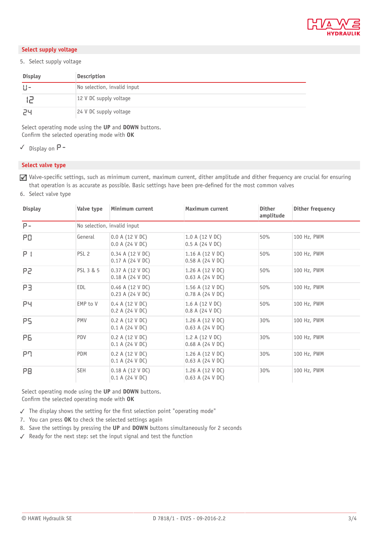

#### **Select supply voltage**

#### 5. Select supply voltage

| <b>Display</b> | <b>Description</b>                |
|----------------|-----------------------------------|
| $\pm 1 -$      | No selection, invalid input       |
|                | 12 V DC supply voltage            |
| טכ             | $ 24 \text{ V}$ DC supply voltage |

Select operating mode using the **UP** and **DOWN** buttons. Confirm the selected operating mode with OK

✓ Display on **P-**

#### **Select valve type**

Valve-specific settings, such as minimum current, maximum current, dither amplitude and dither frequency are crucial for ensuring that operation is as accurate as possible. Basic settings have been pre-defined for the most common valves

6. Select valve type

| <b>Display</b> | Valve type                  | Minimum current                        | Maximum current                       | <b>Dither</b><br>amplitude | Dither frequency |  |  |  |
|----------------|-----------------------------|----------------------------------------|---------------------------------------|----------------------------|------------------|--|--|--|
| $P -$          | No selection, invalid input |                                        |                                       |                            |                  |  |  |  |
| PO.            | General                     | 0.0 A (12 V DC)<br>0.0 A (24 V DC)     | 1.0 A (12 V DC)<br>0.5 A (24 V DC)    | 50%                        | 100 Hz, PWM      |  |  |  |
| $P +$          | PSL <sub>2</sub>            | 0.34 A (12 V DC)<br>0.17 A (24 V DC)   | 1.16 A (12 V DC)<br>0.58 A (24 V DC)  | 50%                        | 100 Hz, PWM      |  |  |  |
| 59             | PSL 3 & 5                   | 0.37 A (12 V DC)<br>0.18 A (24 V DC)   | 1.26 A (12 V DC)<br>0.63 A (24 V DC)  | 50%                        | 100 Hz, PWM      |  |  |  |
| PВ             | EDL                         | $0.46$ A (12 V DC)<br>0.23 A (24 V DC) | 1.56 A (12 V DC)<br>0.78 A (24 V DC)  | 50%                        | 100 Hz, PWM      |  |  |  |
| PЧ             | EMP to V                    | 0.4 A (12 V DC)<br>0.2 A (24 V DC)     | 1.6 A (12 V DC)<br>0.8 A (24 V DC)    | 50%                        | 100 Hz, PWM      |  |  |  |
| PS.            | PMV                         | 0.2 A (12 V DC)<br>0.1 A (24 V DC)     | 1.26 A (12 V DC)<br>0.63 A (24 V DC)  | 30%                        | 100 Hz, PWM      |  |  |  |
| PB.            | PDV                         | 0.2 A (12 V DC)<br>0.1 A (24 V DC)     | 1.2 A (12 V DC)<br>$0.68$ A (24 V DC) | 30%                        | 100 Hz, PWM      |  |  |  |
| PП             | <b>PDM</b>                  | 0.2 A (12 V DC)<br>0.1 A (24 V DC)     | 1.26 A (12 V DC)<br>0.63 A (24 V DC)  | 30%                        | 100 Hz, PWM      |  |  |  |
| PB             | <b>SEH</b>                  | 0.18 A (12 V DC)<br>0.1 A (24 V DC)    | 1.26 A (12 V DC)<br>0.63 A (24 V DC)  | 30%                        | 100 Hz, PWM      |  |  |  |

Select operating mode using the **UP** and **DOWN** buttons. Confirm the selected operating mode with OK

 $\checkmark$  The display shows the setting for the first selection point "operating mode"

- 7. You can press **OK** to check the selected settings again
- 8. Save the settings by pressing the **UP** and **DOWN** buttons simultaneously for 2 seconds
- ✓ Ready for the next step: set the input signal and test the function